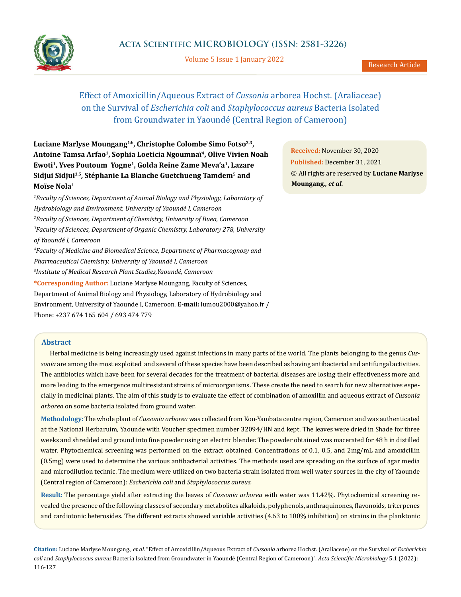

Volume 5 Issue 1 January 2022

# Effect of Amoxicillin/Aqueous Extract of *Cussonia* arborea Hochst. (Araliaceae) on the Survival of *Escherichia coli* and *Staphylococcus aureus* Bacteria Isolated from Groundwater in Yaoundé (Central Region of Cameroon)

Luciane Marlyse Moungang<sup>1\*</sup>, Christophe Colombe Simo Fotso<sup>2,3</sup>, **Antoine Tamsa Arfao1, Sophia Loeticia Ngoumnaï4, Olive Vivien Noah Ewoti1, Yves Poutoum Yogne1, Golda Reine Zame Meva'a1, Lazare Sidjui Sidjui3,5, Stéphanie La Blanche Guetchueng Tamdem5 and Moïse Nola1**

*1 Faculty of Sciences, Department of Animal Biology and Physiology, Laboratory of Hydrobiology and Environment, University of Yaoundé I, Cameroon 2 Faculty of Sciences, Department of Chemistry, University of Buea, Cameroon 3 Faculty of Sciences, Department of Organic Chemistry, Laboratory 278, University of Yaoundé I, Cameroon 4 Faculty of Medicine and Biomedical Science, Department of Pharmacognosy and Pharmaceutical Chemistry, University of Yaoundé I, Cameroon 5 Institute of Medical Research Plant Studies,Yaoundé, Cameroon* **\*Corresponding Author:** Luciane Marlyse Moungang, Faculty of Sciences, Department of Animal Biology and Physiology, Laboratory of Hydrobiology and Environment, University of Yaounde I, Cameroon. **E-mail:** [lumou2000@yahoo.fr](mailto:lumou2000%40yahoo.fr?subject=) /

Phone: +237 674 165 604 / 693 474 779

# **Abstract**

Herbal medicine is being increasingly used against infections in many parts of the world. The plants belonging to the genus *Cussonia* are among the most exploited and several of these species have been described as having antibacterial and antifungal activities. The antibiotics which have been for several decades for the treatment of bacterial diseases are losing their effectiveness more and more leading to the emergence multiresistant strains of microorganisms. These create the need to search for new alternatives especially in medicinal plants. The aim of this study is to evaluate the effect of combination of amoxillin and aqueous extract of *Cussonia arborea* on some bacteria isolated from ground water.

**Methodology:** The whole plant of *Cussonia arborea* was collected from Kon-Yambata centre region, Cameroon and was authenticated at the National Herbaruim, Yaounde with Voucher specimen number 32094/HN and kept. The leaves were dried in Shade for three weeks and shredded and ground into fine powder using an electric blender. The powder obtained was macerated for 48 h in distilled water. Phytochemical screening was performed on the extract obtained. Concentrations of 0.1, 0.5, and 2mg/mL and amoxicillin (0.5mg) were used to determine the various antibacterial activities. The methods used are spreading on the surface of agar media and microdilution technic. The medium were utilized on two bacteria strain isolated from well water sources in the city of Yaounde (Central region of Cameroon): *Escherichia coli* and *Staphylococcus aureus.*

**Result:** The percentage yield after extracting the leaves of *Cussonia arborea* with water was 11.42%. Phytochemical screening revealed the presence of the following classes of secondary metabolites alkaloids, polyphenols, anthraquinones, flavonoids, triterpenes and cardiotonic heterosides. The different extracts showed variable activities (4.63 to 100% inhibition) on strains in the planktonic

**Citation:** Luciane Marlyse Moungang*., et al.* "Effect of Amoxicillin/Aqueous Extract of *Cussonia* arborea Hochst. (Araliaceae) on the Survival of *Escherichia coli* and *Staphylococcus aureus* Bacteria Isolated from Groundwater in Yaoundé (Central Region of Cameroon)". *Acta Scientific Microbiology* 5.1 (2022): 116-127

**Received:** November 30, 2020 **Published:** December 31, 2021 © All rights are reserved by **Luciane Marlyse Moungang***., et al.*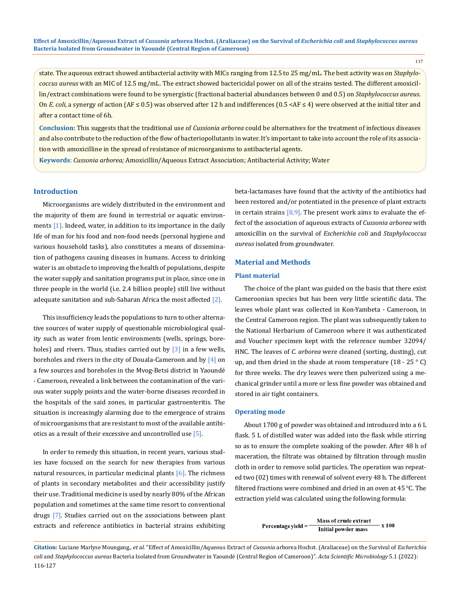117

state. The aqueous extract showed antibacterial activity with MICs ranging from 12.5 to 25 mg/mL. The best activity was on *Staphylococcus aureus* with an MIC of 12.5 mg/mL. The extract showed bactericidal power on all of the strains tested. The different amoxicillin/extract combinations were found to be synergistic (fractional bacterial abundances between 0 and 0.5) on *Staphylococcus aureus*. On *E. coli*, a synergy of action (AF ≤ 0.5) was observed after 12 h and indifferences (0.5 <AF ≤ 4) were observed at the initial titer and after a contact time of 6h.

**Conclusion:** This suggests that the traditional use of *Cussionia arborea* could be alternatives for the treatment of infectious diseases and also contribute to the reduction of the flow of bacteriopollutants in water. It's important to take into account the role of its association with amoxicilline in the spread of resistance of microorganisms to antibacterial agents.

**Keywords**: *Cussonia arborea;* Amoxicillin/Aqueous Extract Association; Antibacterial Activity; Water

# **Introduction**

Microorganisms are widely distributed in the environment and the majority of them are found in terrestrial or aquatic environments [1]. Indeed, water, in addition to its importance in the daily life of man for his food and non-food needs (personal hygiene and various household tasks), also constitutes a means of dissemination of pathogens causing diseases in humans. Access to drinking water is an obstacle to improving the health of populations, despite the water supply and sanitation programs put in place, since one in three people in the world (i.e. 2.4 billion people) still live without adequate sanitation and sub-Saharan Africa the most affected  $[2]$ .

This insufficiency leads the populations to turn to other alternative sources of water supply of questionable microbiological quality such as water from lentic environments (wells, springs, boreholes) and rivers. Thus, studies carried out by  $\lceil 3 \rceil$  in a few wells, boreholes and rivers in the city of Douala-Cameroon and by  $[4]$  on a few sources and boreholes in the Mvog-Betsi district in Yaoundé - Cameroon, revealed a link between the contamination of the various water supply points and the water-borne diseases recorded in the hospitals of the said zones, in particular gastroenteritis. The situation is increasingly alarming due to the emergence of strains of microorganisms that are resistant to most of the available antibiotics as a result of their excessive and uncontrolled use [5].

In order to remedy this situation, in recent years, various studies have focused on the search for new therapies from various natural resources, in particular medicinal plants [6]. The richness of plants in secondary metabolites and their accessibility justify their use. Traditional medicine is used by nearly 80% of the African population and sometimes at the same time resort to conventional drugs [7]. Studies carried out on the associations between plant extracts and reference antibiotics in bacterial strains exhibiting beta-lactamases have found that the activity of the antibiotics had been restored and/or potentiated in the presence of plant extracts in certain strains  $[8,9]$ . The present work aims to evaluate the effect of the association of aqueous extracts of *Cussonia arborea* with amoxicillin on the survival of *Escherichia coli* and *Staphylococcus aureus* isolated from groundwater.

### **Material and Methods**

### **Plant material**

The choice of the plant was guided on the basis that there exist Cameroonian species but has been very little scientific data. The leaves whole plant was collected in Kon-Yambeta - Cameroon, in the Central Cameroon region. The plant was subsequently taken to the National Herbarium of Cameroon where it was authenticated and Voucher specimen kept with the reference number 32094/ HNC. The leaves of *C. arborea* were cleaned (sorting, dusting), cut up, and then dried in the shade at room temperature  $(18 - 25 \degree C)$ for three weeks. The dry leaves were then pulverized using a mechanical grinder until a more or less fine powder was obtained and stored in air tight containers.

#### **Operating mode**

About 1700 g of powder was obtained and introduced into a 6 L flask. 5 L of distilled water was added into the flask while stirring so as to ensure the complete soaking of the powder. After 48 h of maceration, the filtrate was obtained by filtration through muslin cloth in order to remove solid particles. The operation was repeated two (02) times with renewal of solvent every 48 h. The different filtered fractions were combined and dried in an oven at 45 ℃. The extraction yield was calculated using the following formula:

> Mass of crude extract  $x$  100 Percentage yield  $\!=$ **Initial powder mass**

**Citation:** Luciane Marlyse Moungang*., et al.* "Effect of Amoxicillin/Aqueous Extract of *Cussonia* arborea Hochst. (Araliaceae) on the Survival of *Escherichia coli* and *Staphylococcus aureus* Bacteria Isolated from Groundwater in Yaoundé (Central Region of Cameroon)". *Acta Scientific Microbiology* 5.1 (2022): 116-127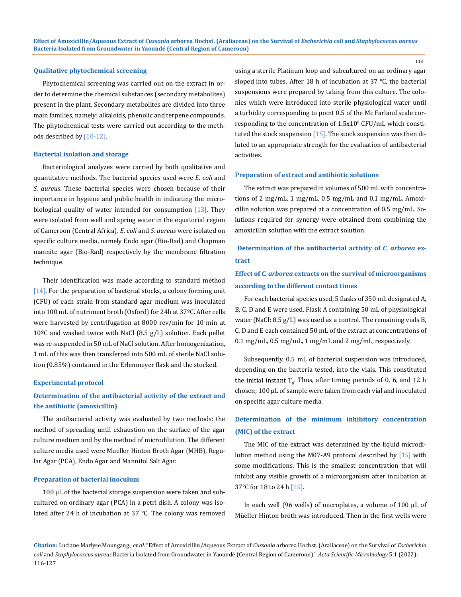#### **Qualitative phytochemical screening**

Phytochemical screening was carried out on the extract in order to determine the chemical substances (secondary metabolites) present in the plant. Secondary metabolites are divided into three main families, namely: alkaloids, phenolic and terpene compounds. The phytochemical tests were carried out according to the methods described by [10-12].

#### **Bacterial isolation and storage**

Bacteriological analyzes were carried by both qualitative and quantitative methods. The bacterial species used were *E. coli* and *S. aureus*. These bacterial species were chosen because of their importance in hygiene and public health in indicating the microbiological quality of water intended for consumption  $[13]$ . They were isolated from well and spring water in the equatorial region of Cameroon (Central Africa). *E. coli* and *S. aureus* were isolated on specific culture media, namely Endo agar (Bio-Rad) and Chapman mannite agar (Bio-Rad) respectively by the membrane filtration technique.

Their identification was made according to standard method [14]. For the preparation of bacterial stocks, a colony forming unit (CFU) of each strain from standard agar medium was inoculated into 100 mL of nutriment broth (Oxford) for 24h at 37ºC. After cells were harvested by centrifugation at 8000 rev/min for 10 min at  $10^{\circ}$ C and washed twice with NaCl (8.5 g/L) solution. Each pellet was re-suspended in 50 mL of NaCl solution. After homogenization, 1 mL of this was then transferred into 500 mL of sterile NaCl solution (0.85%) contained in the Erlenmeyer flask and the stocked.

#### **Experimental protocol**

# **Determination of the antibacterial activity of the extract and the antibiotic (amoxicillin)**

The antibacterial activity was evaluated by two methods: the method of spreading until exhaustion on the surface of the agar culture medium and by the method of microdilution. The different culture media used were Mueller Hinton Broth Agar (MHB), Regular Agar (PCA), Endo Agar and Mannitol Salt Agar.

#### **Preparation of bacterial inoculum**

100 μL of the bacterial storage suspension were taken and subcultured on ordinary agar (PCA) in a petri dish. A colony was isolated after 24 h of incubation at 37 ℃. The colony was removed using a sterile Platinum loop and subcultured on an ordinary agar sloped into tubes. After 18 h of incubation at 37 ℃, the bacterial suspensions were prepared by taking from this culture. The colonies which were introduced into sterile physiological water until a turbidity corresponding to point 0.5 of the Mc Farland scale corresponding to the concentration of  $1.5x10^{\circ}$  CFU/mL which constituted the stock suspension [15]. The stock suspension was then diluted to an appropriate strength for the evaluation of antibacterial activities.

### **Preparation of extract and antibiotic solutions**

The extract was prepared in volumes of 500 mL with concentrations of 2 mg/mL, 1 mg/mL, 0.5 mg/mL and 0.1 mg/mL. Amoxicillin solution was prepared at a concentration of 0.5 mg/mL. Solutions required for synergy were obtained from combining the amoxicillin solution with the extract solution.

# **Determination of the antibacterial activity of** *C. arborea* **extract**

# **Effect of** *C. arborea* **extracts on the survival of microorganisms according to the different contact times**

For each bacterial species used, 5 flasks of 350 mL designated A, B, C, D and E were used. Flask A containing 50 mL of physiological water (NaCl: 8.5 g/L) was used as a control. The remaining vials B, C, D and E each contained 50 mL of the extract at concentrations of 0.1 mg/mL, 0.5 mg/mL, 1 mg/mL and 2 mg/mL, respectively.

Subsequently, 0.5 mL of bacterial suspension was introduced, depending on the bacteria tested, into the vials. This constituted the initial instant T<sub>0</sub>. Thus, after timing periods of 0, 6, and 12 h chosen; 100 μL of sample were taken from each vial and inoculated on specific agar culture media.

# **Determination of the minimum inhibitory concentration (MIC) of the extract**

The MIC of the extract was determined by the liquid microdilution method using the M07-A9 protocol described by [15] with some modifications. This is the smallest concentration that will inhibit any visible growth of a microorganism after incubation at 37°C for 18 to 24 h [15].

In each well (96 wells) of microplates, a volume of 100 μL of Müeller Hinton broth was introduced. Then in the first wells were

**Citation:** Luciane Marlyse Moungang*., et al.* "Effect of Amoxicillin/Aqueous Extract of *Cussonia* arborea Hochst. (Araliaceae) on the Survival of *Escherichia coli* and *Staphylococcus aureus* Bacteria Isolated from Groundwater in Yaoundé (Central Region of Cameroon)". *Acta Scientific Microbiology* 5.1 (2022): 116-127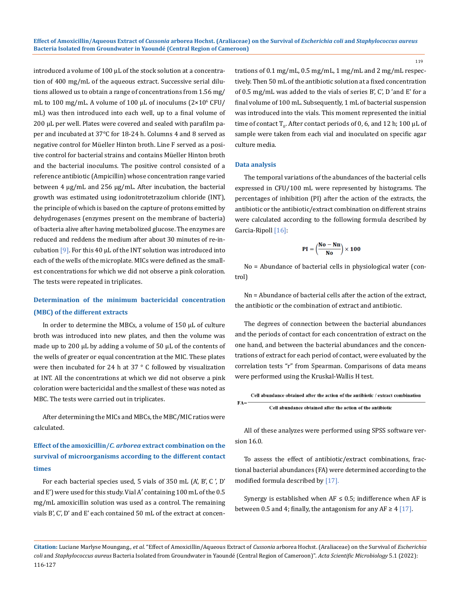introduced a volume of 100 μL of the stock solution at a concentration of 400 mg/mL of the aqueous extract. Successive serial dilutions allowed us to obtain a range of concentrations from 1.56 mg/ mL to 100 mg/mL. A volume of 100  $\mu$ L of inoculums (2×10° CFU/ mL) was then introduced into each well, up to a final volume of 200 μL per well. Plates were covered and sealed with parafilm paper and incubated at 37°C for 18-24 h. Columns 4 and 8 served as negative control for Müeller Hinton broth. Line F served as a positive control for bacterial strains and contains Müeller Hinton broth and the bacterial inoculums. The positive control consisted of a reference antibiotic (Ampicillin) whose concentration range varied between 4 μg/mL and 256 μg/mL. After incubation, the bacterial growth was estimated using iodonitrotetrazolium chloride (INT), the principle of which is based on the capture of protons emitted by dehydrogenases (enzymes present on the membrane of bacteria) of bacteria alive after having metabolized glucose. The enzymes are reduced and reddens the medium after about 30 minutes of re-incubation  $[9]$ . For this 40  $\mu$ L of the INT solution was introduced into each of the wells of the microplate. MICs were defined as the smallest concentrations for which we did not observe a pink coloration. The tests were repeated in triplicates.

# **Determination of the minimum bactericidal concentration (MBC) of the different extracts**

In order to determine the MBCs, a volume of 150 μL of culture broth was introduced into new plates, and then the volume was made up to 200 μL by adding a volume of 50 μL of the contents of the wells of greater or equal concentration at the MIC. These plates were then incubated for 24 h at 37  $\degree$  C followed by visualization at INT. All the concentrations at which we did not observe a pink coloration were bactericidal and the smallest of these was noted as MBC. The tests were carried out in triplicates.

After determining the MICs and MBCs, the MBC/MIC ratios were calculated.

# **Effect of the amoxicillin/***C. arborea* **extract combination on the survival of microorganisms according to the different contact times**

For each bacterial species used, 5 vials of 350 mL (A', B', C', D' and E') were used for this study. Vial A′ containing 100 mL of the 0.5 mg/mL amoxicillin solution was used as a control. The remaining vials B', C', D' and E' each contained 50 mL of the extract at concentrations of 0.1 mg/mL, 0.5 mg/mL, 1 mg/mL and 2 mg/mL respectively. Then 50 mL of the antibiotic solution at a fixed concentration of 0.5 mg/mL was added to the vials of series B', C', D 'and E' for a final volume of 100 mL. Subsequently, 1 mL of bacterial suspension was introduced into the vials. This moment represented the initial time of contact T<sub>0</sub>. After contact periods of 0, 6, and 12 h; 100  $\mu$ L of sample were taken from each vial and inoculated on specific agar culture media.

119

### **Data analysis**

The temporal variations of the abundances of the bacterial cells expressed in CFU/100 mL were represented by histograms. The percentages of inhibition (PI) after the action of the extracts, the antibiotic or the antibiotic/extract combination on different strains were calculated according to the following formula described by Garcia-Ripoll [16]:

$$
PI=\left(\!\frac{No-Nn}{No}\!\right)\times100
$$

No = Abundance of bacterial cells in physiological water (control)

Nn = Abundance of bacterial cells after the action of the extract, the antibiotic or the combination of extract and antibiotic.

The degrees of connection between the bacterial abundances and the periods of contact for each concentration of extract on the one hand, and between the bacterial abundances and the concentrations of extract for each period of contact, were evaluated by the correlation tests "r" from Spearman. Comparisons of data means were performed using the Kruskal-Wallis H test.

Cell abundance obtained after the action of the antibiotic / extract combination  $FA=$ Cell abundance obtained after the action of the antibiotic

All of these analyzes were performed using SPSS software version 16.0.

To assess the effect of antibiotic/extract combinations, fractional bacterial abundances (FA) were determined according to the modified formula described by [17].

Synergy is established when  $AF \leq 0.5$ ; indifference when AF is between 0.5 and 4; finally, the antagonism for any AF  $\geq 4$  [17].

**Citation:** Luciane Marlyse Moungang*., et al.* "Effect of Amoxicillin/Aqueous Extract of *Cussonia* arborea Hochst. (Araliaceae) on the Survival of *Escherichia coli* and *Staphylococcus aureus* Bacteria Isolated from Groundwater in Yaoundé (Central Region of Cameroon)". *Acta Scientific Microbiology* 5.1 (2022): 116-127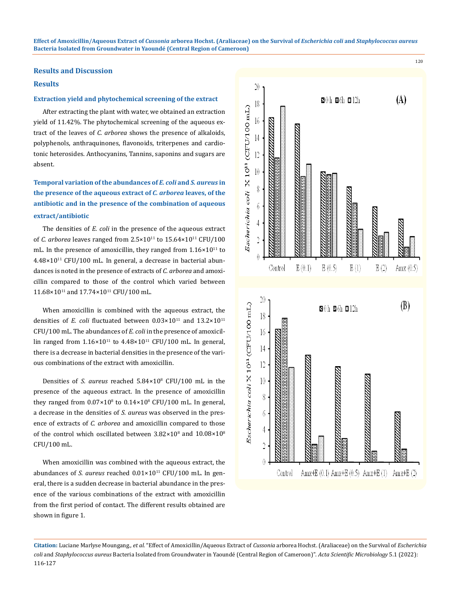#### **Results and Discussion**

# **Results**

### **Extraction yield and phytochemical screening of the extract**

After extracting the plant with water, we obtained an extraction yield of 11.42%. The phytochemical screening of the aqueous extract of the leaves of *C. arborea* shows the presence of alkaloids, polyphenols, anthraquinones, flavonoids, triterpenes and cardiotonic heterosides. Anthocyanins, Tannins, saponins and sugars are absent.

# **Temporal variation of the abundances of** *E. coli* **and** *S. aureus* **in the presence of the aqueous extract of** *C. arborea* **leaves, of the antibiotic and in the presence of the combination of aqueous extract/antibiotic**

The densities of *E. coli* in the presence of the aqueous extract of *C. arborea* leaves ranged from  $2.5 \times 10^{11}$  to  $15.64 \times 10^{11}$  CFU/100 mL. In the presence of amoxicillin, they ranged from  $1.16 \times 10^{11}$  to  $4.48\times10^{11}$  CFU/100 mL. In general, a decrease in bacterial abundances is noted in the presence of extracts of *C. arborea* and amoxicillin compared to those of the control which varied between 11.68×10<sup>11</sup> and 17.74×10<sup>11</sup> CFU/100 mL.

When amoxicillin is combined with the aqueous extract, the densities of *E. coli* fluctuated between  $0.03 \times 10^{11}$  and  $13.2 \times 10^{11}$ CFU/100 mL. The abundances of *E. coli* in the presence of amoxicillin ranged from  $1.16\times10^{11}$  to  $4.48\times10^{11}$  CFU/100 mL. In general, there is a decrease in bacterial densities in the presence of the various combinations of the extract with amoxicillin.

Densities of *S. aureus* reached 5.84×108 CFU/100 mL in the presence of the aqueous extract. In the presence of amoxicillin they ranged from  $0.07 \times 10^8$  to  $0.14 \times 10^8$  CFU/100 mL. In general, a decrease in the densities of *S. aureus* was observed in the presence of extracts of *C. arborea* and amoxicillin compared to those of the control which oscillated between  $3.82 \times 10^8$  and  $10.08 \times 10^8$ CFU/100 mL.

When amoxicillin was combined with the aqueous extract, the abundances of *S. aureus* reached  $0.01 \times 10^{11}$  CFU/100 mL. In general, there is a sudden decrease in bacterial abundance in the presence of the various combinations of the extract with amoxicillin from the first period of contact. The different results obtained are shown in figure 1.



**Citation:** Luciane Marlyse Moungang*., et al.* "Effect of Amoxicillin/Aqueous Extract of *Cussonia* arborea Hochst. (Araliaceae) on the Survival of *Escherichia coli* and *Staphylococcus aureus* Bacteria Isolated from Groundwater in Yaoundé (Central Region of Cameroon)". *Acta Scientific Microbiology* 5.1 (2022): 116-127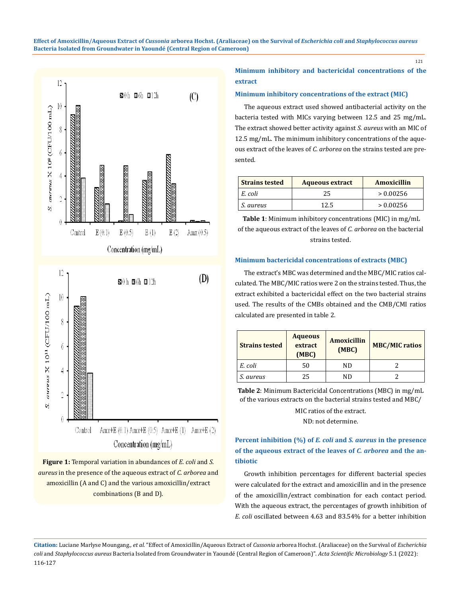

**Figure 1:** Temporal variation in abundances of *E. coli* and *S. aureus* in the presence of the aqueous extract of *C. arborea* and amoxicillin (A and C) and the various amoxicillin/extract combinations (B and D).

# **Minimum inhibitory and bactericidal concentrations of the extract**

## **Minimum inhibitory concentrations of the extract (MIC)**

The aqueous extract used showed antibacterial activity on the bacteria tested with MICs varying between 12.5 and 25 mg/mL. The extract showed better activity against *S. aureus* with an MIC of 12.5 mg/mL. The minimum inhibitory concentrations of the aqueous extract of the leaves of *C. arborea* on the strains tested are presented.

| <b>Strains tested</b> | <b>Aqueous extract</b> | Amoxicillin |  |  |
|-----------------------|------------------------|-------------|--|--|
| E. coli               | 25                     | > 0.00256   |  |  |
| S. aureus             | 12 5                   | > 0.00256   |  |  |

**Table 1**: Minimum inhibitory concentrations (MIC) in mg/mL of the aqueous extract of the leaves of *C. arborea* on the bacterial strains tested.

### **Minimum bactericidal concentrations of extracts (MBC)**

The extract's MBC was determined and the MBC/MIC ratios calculated. The MBC/MIC ratios were 2 on the strains tested. Thus, the extract exhibited a bactericidal effect on the two bacterial strains used. The results of the CMBs obtained and the CMB/CMI ratios calculated are presented in table 2.

| <b>Strains tested</b> | <b>Aqueous</b><br>extract<br>(MBC) | <b>Amoxicillin</b><br>(MBC) | <b>MBC/MIC ratios</b> |  |
|-----------------------|------------------------------------|-----------------------------|-----------------------|--|
| E. coli               | 50                                 | ND                          |                       |  |
| S. aureus             | 25                                 | ND                          |                       |  |

**Table 2**: Minimum Bactericidal Concentrations (MBC) in mg/mL of the various extracts on the bacterial strains tested and MBC/

MIC ratios of the extract.

ND: not determine.

# **Percent inhibition (%) of** *E. coli* **and** *S. aureus* **in the presence of the aqueous extract of the leaves of** *C. arborea* **and the antibiotic**

Growth inhibition percentages for different bacterial species were calculated for the extract and amoxicillin and in the presence of the amoxicillin/extract combination for each contact period. With the aqueous extract, the percentages of growth inhibition of *E. coli* oscillated between 4.63 and 83.54% for a better inhibition

**Citation:** Luciane Marlyse Moungang*., et al.* "Effect of Amoxicillin/Aqueous Extract of *Cussonia* arborea Hochst. (Araliaceae) on the Survival of *Escherichia coli* and *Staphylococcus aureus* Bacteria Isolated from Groundwater in Yaoundé (Central Region of Cameroon)". *Acta Scientific Microbiology* 5.1 (2022): 116-127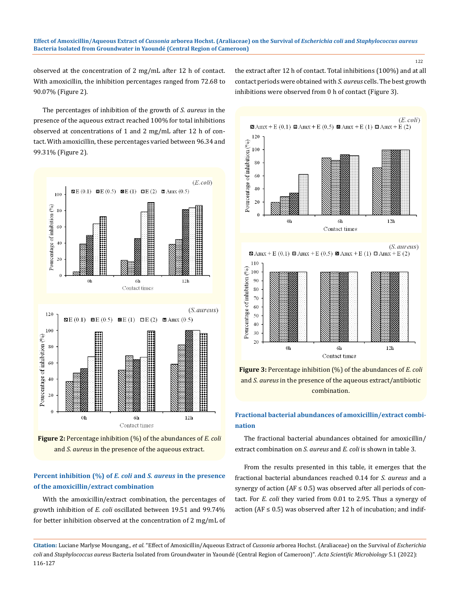122

observed at the concentration of 2 mg/mL after 12 h of contact. With amoxicillin, the inhibition percentages ranged from 72.68 to 90.07% (Figure 2).

the extract after 12 h of contact. Total inhibitions (100%) and at all contact periods were obtained with *S. aureus* cells. The best growth inhibitions were observed from 0 h of contact (Figure 3).

The percentages of inhibition of the growth of *S. aureus* in the presence of the aqueous extract reached 100% for total inhibitions observed at concentrations of 1 and 2 mg/mL after 12 h of contact. With amoxicillin, these percentages varied between 96.34 and 99.31% (Figure 2).





# **Percent inhibition (%) of** *E. coli* **and** *S. aureus* **in the presence of the amoxicillin/extract combination**

With the amoxicillin/extract combination, the percentages of growth inhibition of *E. coli* oscillated between 19.51 and 99.74% for better inhibition observed at the concentration of 2 mg/mL of







# **Fractional bacterial abundances of amoxicillin/extract combination**

The fractional bacterial abundances obtained for amoxicillin/ extract combination on *S. aureus* and *E. coli* is shown in table 3.

From the results presented in this table, it emerges that the fractional bacterial abundances reached 0.14 for *S. aureus* and a synergy of action ( $AF \le 0.5$ ) was observed after all periods of contact. For *E. coli* they varied from 0.01 to 2.95. Thus a synergy of action ( $AF \leq 0.5$ ) was observed after 12 h of incubation; and indif-

**Citation:** Luciane Marlyse Moungang*., et al.* "Effect of Amoxicillin/Aqueous Extract of *Cussonia* arborea Hochst. (Araliaceae) on the Survival of *Escherichia coli* and *Staphylococcus aureus* Bacteria Isolated from Groundwater in Yaoundé (Central Region of Cameroon)". *Acta Scientific Microbiology* 5.1 (2022): 116-127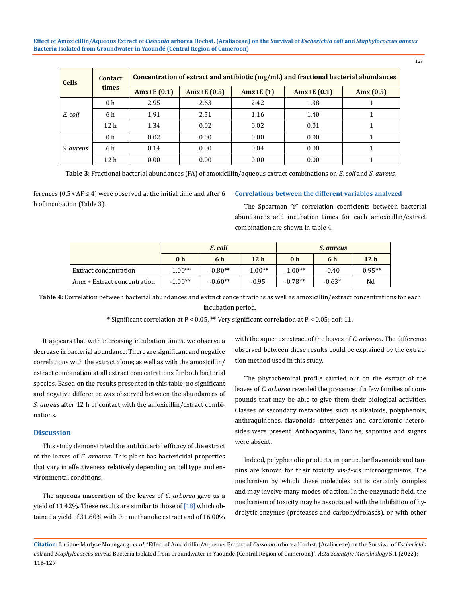| <b>Cells</b> | <b>Contact</b><br>times | Concentration of extract and antibiotic (mg/mL) and fractional bacterial abundances |              |             |               |             |  |
|--------------|-------------------------|-------------------------------------------------------------------------------------|--------------|-------------|---------------|-------------|--|
|              |                         | $Amx+E(0.1)$                                                                        | $Amx+E(0.5)$ | Amx+E $(1)$ | Amx+E $(0.1)$ | Amx $(0.5)$ |  |
| E. coli      | 0 <sub>h</sub>          | 2.95                                                                                | 2.63         | 2.42        | 1.38          |             |  |
|              | 6 h                     | 1.91                                                                                | 2.51         | 1.16        | 1.40          |             |  |
|              | 12 <sub>h</sub>         | 1.34                                                                                | 0.02         | 0.02        | 0.01          |             |  |
| S. aureus    | 0 <sub>h</sub>          | 0.02                                                                                | 0.00         | 0.00        | 0.00          |             |  |
|              | 6 h                     | 0.14                                                                                | 0.00         | 0.04        | 0.00          |             |  |
|              | 12 <sub>h</sub>         | 0.00                                                                                | 0.00         | 0.00        | 0.00          |             |  |

**Table 3**: Fractional bacterial abundances (FA) of amoxicillin/aqueous extract combinations on *E. coli* and *S. aureus.*

ferences ( $0.5 < AF \leq 4$ ) were observed at the initial time and after 6 h of incubation (Table 3).

# **Correlations between the different variables analyzed**

The Spearman "r" correlation coefficients between bacterial abundances and incubation times for each amoxicillin/extract combination are shown in table 4.

|                             | E. coli        |           |                 | <i>S. aureus</i> |          |                 |
|-----------------------------|----------------|-----------|-----------------|------------------|----------|-----------------|
|                             | 0 <sub>h</sub> | 6 h       | 12 <sub>h</sub> | 0 <sub>h</sub>   | 6 h      | 12 <sub>h</sub> |
| Extract concentration       | $-1.00**$      | $-0.80**$ | $-1.00**$       | $-1.00**$        | $-0.40$  | $-0.95**$       |
| Amx + Extract concentration | $-1.00**$      | $-0.60**$ | $-0.95$         | $-0.78**$        | $-0.63*$ | Nd              |

**Table 4**: Correlation between bacterial abundances and extract concentrations as well as amoxicillin/extract concentrations for each incubation period.

\* Significant correlation at  $P < 0.05$ , \*\* Very significant correlation at  $P < 0.05$ ; dof: 11.

It appears that with increasing incubation times, we observe a decrease in bacterial abundance. There are significant and negative correlations with the extract alone; as well as with the amoxicillin/ extract combination at all extract concentrations for both bacterial species. Based on the results presented in this table, no significant and negative difference was observed between the abundances of *S. aureus* after 12 h of contact with the amoxicillin/extract combinations.

# **Discussion**

This study demonstrated the antibacterial efficacy of the extract of the leaves of *C. arborea*. This plant has bactericidal properties that vary in effectiveness relatively depending on cell type and environmental conditions.

The aqueous maceration of the leaves of *C. arborea* gave us a yield of 11.42%. These results are similar to those of  $[18]$  which obtained a yield of 31.60% with the methanolic extract and of 16.00% with the aqueous extract of the leaves of *C. arborea*. The difference observed between these results could be explained by the extraction method used in this study.

The phytochemical profile carried out on the extract of the leaves of *C. arborea* revealed the presence of a few families of compounds that may be able to give them their biological activities. Classes of secondary metabolites such as alkaloids, polyphenols, anthraquinones, flavonoids, triterpenes and cardiotonic heterosides were present. Anthocyanins, Tannins, saponins and sugars were absent.

Indeed, polyphenolic products, in particular flavonoids and tannins are known for their toxicity vis-à-vis microorganisms. The mechanism by which these molecules act is certainly complex and may involve many modes of action. In the enzymatic field, the mechanism of toxicity may be associated with the inhibition of hydrolytic enzymes (proteases and carbohydrolases), or with other

**Citation:** Luciane Marlyse Moungang*., et al.* "Effect of Amoxicillin/Aqueous Extract of *Cussonia* arborea Hochst. (Araliaceae) on the Survival of *Escherichia coli* and *Staphylococcus aureus* Bacteria Isolated from Groundwater in Yaoundé (Central Region of Cameroon)". *Acta Scientific Microbiology* 5.1 (2022): 116-127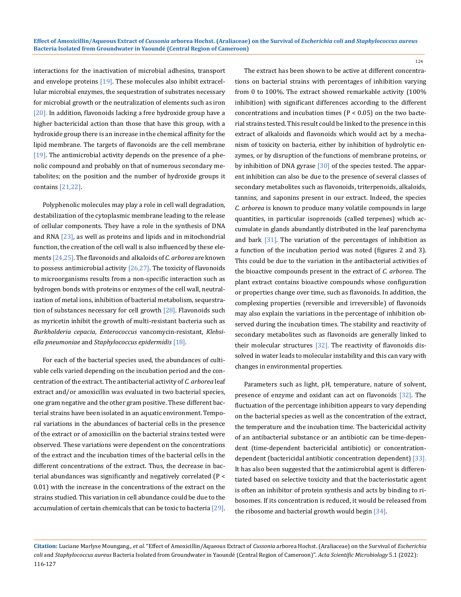interactions for the inactivation of microbial adhesins, transport and envelope proteins [19]. These molecules also inhibit extracellular microbial enzymes, the sequestration of substrates necessary for microbial growth or the neutralization of elements such as iron [20]. In addition, flavonoids lacking a free hydroxide group have a higher bactericidal action than those that have this group, with a hydroxide group there is an increase in the chemical affinity for the lipid membrane. The targets of flavonoids are the cell membrane  $[19]$ . The antimicrobial activity depends on the presence of a phenolic compound and probably on that of numerous secondary metabolites; on the position and the number of hydroxide groups it contains [21,22].

Polyphenolic molecules may play a role in cell wall degradation, destabilization of the cytoplasmic membrane leading to the release of cellular components. They have a role in the synthesis of DNA and RNA [23], as well as proteins and lipids and in mitochondrial function, the creation of the cell wall is also influenced by these elements [24,25]. The flavonoids and alkaloids of *C. arborea* are known to possess antimicrobial activity  $[26,27]$ . The toxicity of flavonoids to microorganisms results from a non-specific interaction such as hydrogen bonds with proteins or enzymes of the cell wall, neutralization of metal ions, inhibition of bacterial metabolism, sequestration of substances necessary for cell growth [28]. Flavonoids such as myricetin inhibit the growth of multi-resistant bacteria such as *Burkholderia cepacia*, *Enterococcus* vancomycin-resistant, *Klebsiella pneumoniae* and *Staphylococcus epidermidis* [18].

For each of the bacterial species used, the abundances of cultivable cells varied depending on the incubation period and the concentration of the extract. The antibacterial activity of *C. arborea* leaf extract and/or amoxicillin was evaluated in two bacterial species, one gram negative and the other gram positive. These different bacterial strains have been isolated in an aquatic environment. Temporal variations in the abundances of bacterial cells in the presence of the extract or of amoxicillin on the bacterial strains tested were observed. These variations were dependent on the concentrations of the extract and the incubation times of the bacterial cells in the different concentrations of the extract. Thus, the decrease in bacterial abundances was significantly and negatively correlated (P < 0.01) with the increase in the concentrations of the extract on the strains studied. This variation in cell abundance could be due to the accumulation of certain chemicals that can be toxic to bacteria [29].

The extract has been shown to be active at different concentrations on bacterial strains with percentages of inhibition varying from 0 to 100%. The extract showed remarkable activity (100% inhibition) with significant differences according to the different concentrations and incubation times ( $P < 0.05$ ) on the two bacterial strains tested. This result could be linked to the presence in this extract of alkaloids and flavonoids which would act by a mechanism of toxicity on bacteria, either by inhibition of hydrolytic enzymes, or by disruption of the functions of membrane proteins, or by inhibition of DNA gyrase [30] of the species tested. The apparent inhibition can also be due to the presence of several classes of secondary metabolites such as flavonoids, triterpenoids, alkaloids, tannins, and saponins present in our extract. Indeed, the species *C. arborea* is known to produce many volatile compounds in large quantities, in particular isoprenoids (called terpenes) which accumulate in glands abundantly distributed in the leaf parenchyma and bark [31]. The variation of the percentages of inhibition as a function of the incubation period was noted (figures 2 and 3). This could be due to the variation in the antibacterial activities of the bioactive compounds present in the extract of *C. arborea*. The plant extract contains bioactive compounds whose configuration or properties change over time, such as flavonoids. In addition, the complexing properties (reversible and irreversible) of flavonoids may also explain the variations in the percentage of inhibition observed during the incubation times. The stability and reactivity of secondary metabolites such as flavonoids are generally linked to their molecular structures [32]. The reactivity of flavonoids dissolved in water leads to molecular instability and this can vary with changes in environmental properties.

Parameters such as light, pH, temperature, nature of solvent, presence of enzyme and oxidant can act on flavonoids [32]. The fluctuation of the percentage inhibition appears to vary depending on the bacterial species as well as the concentration of the extract, the temperature and the incubation time. The bactericidal activity of an antibacterial substance or an antibiotic can be time-dependent (time-dependent bactericidal antibiotic) or concentrationdependent (bactericidal antibiotic concentration dependent) [33]. It has also been suggested that the antimicrobial agent is differentiated based on selective toxicity and that the bacteriostatic agent is often an inhibitor of protein synthesis and acts by binding to ribosomes. If its concentration is reduced, it would be released from the ribosome and bacterial growth would begin [34].

**Citation:** Luciane Marlyse Moungang*., et al.* "Effect of Amoxicillin/Aqueous Extract of *Cussonia* arborea Hochst. (Araliaceae) on the Survival of *Escherichia coli* and *Staphylococcus aureus* Bacteria Isolated from Groundwater in Yaoundé (Central Region of Cameroon)". *Acta Scientific Microbiology* 5.1 (2022): 116-127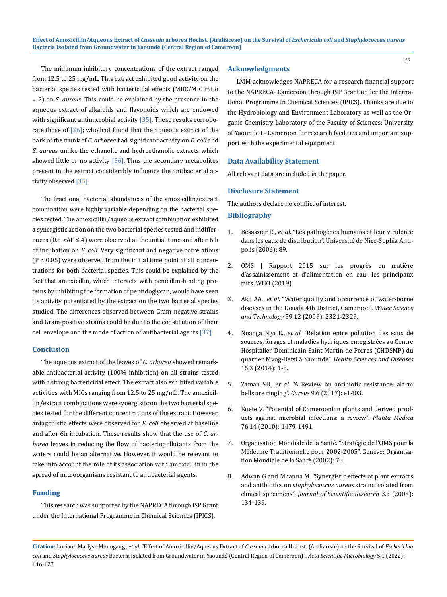The minimum inhibitory concentrations of the extract ranged from 12.5 to 25 mg/mL. This extract exhibited good activity on the bacterial species tested with bactericidal effects (MBC/MIC ratio = 2) on *S. aureus*. This could be explained by the presence in the aqueous extract of alkaloids and flavonoids which are endowed with significant antimicrobial activity  $[35]$ . These results corroborate those of  $[36]$ ; who had found that the aqueous extract of the bark of the trunk of *C. arborea* had significant activity on *E. coli* and *S. aureus* unlike the ethanolic and hydroethanolic extracts which showed little or no activity  $[36]$ . Thus the secondary metabolites present in the extract considerably influence the antibacterial activity observed [35].

The fractional bacterial abundances of the amoxicillin/extract combination were highly variable depending on the bacterial species tested. The amoxicillin/aqueous extract combination exhibited a synergistic action on the two bacterial species tested and indifferences (0.5 < AF  $\leq$  4) were observed at the initial time and after 6 h of incubation on *E. coli*. Very significant and negative correlations (P < 0.05) were observed from the initial time point at all concentrations for both bacterial species. This could be explained by the fact that amoxicillin, which interacts with penicillin-binding proteins by inhibiting the formation of peptidoglycan, would have seen its activity potentiated by the extract on the two bacterial species studied. The differences observed between Gram-negative strains and Gram-positive strains could be due to the constitution of their cell envelope and the mode of action of antibacterial agents  $[37]$ .

### **Conclusion**

The aqueous extract of the leaves of *C. arborea* showed remarkable antibacterial activity (100% inhibition) on all strains tested with a strong bactericidal effect. The extract also exhibited variable activities with MICs ranging from 12.5 to 25 mg/mL. The amoxicillin/extract combinations were synergistic on the two bacterial species tested for the different concentrations of the extract. However, antagonistic effects were observed for *E. coli* observed at baseline and after 6h incubation. These results show that the use of *C. arborea* leaves in reducing the flow of bacteriopollutants from the waters could be an alternative. However, it would be relevant to take into account the role of its association with amoxicillin in the spread of microorganisms resistant to antibacterial agents.

# **Funding**

This research was supported by the NAPRECA through ISP Grant under the International Programme in Chemical Sciences (IPICS).

### **Acknowledgments**

LMM acknowledges NAPRECA for a research financial support to the NAPRECA- Cameroon through ISP Grant under the International Programme in Chemical Sciences (IPICS). Thanks are due to the Hydrobiology and Environment Laboratory as well as the Organic Chemistry Laboratory of the Faculty of Sciences; University of Yaounde I - Cameroon for research facilities and important support with the experimental equipment.

125

### **Data Availability Statement**

All relevant data are included in the paper.

# **Disclosure Statement**

The authors declare no conflict of interest.

### **Bibliography**

- 1. Besassier R., *et al.* "Les pathogènes humains et leur virulence dans les eaux de distribution". Université de Nice-Sophia Antipolis (2006): 89.
- 2. OMS | Rapport 2015 sur les progrès en matière d'assainissement et d'alimentation en eau: les principaux faits. WHO (2019).
- 3. Ako AA., *et al.* ["Water quality and occurrence of water-borne](https://pubmed.ncbi.nlm.nih.gov/19542637/)  [diseases in the Douala 4th District, Cameroon".](https://pubmed.ncbi.nlm.nih.gov/19542637/) *Water Science and Technology* [59.12 \(2009\): 2321-2329.](https://pubmed.ncbi.nlm.nih.gov/19542637/)
- 4. Nnanga Nga E., *et al.* ["Relation entre pollution des eaux de](https://www.hsd-fmsb.org/index.php/hsd/article/view/390)  [sources, forages et maladies hydriques enregistrées au Centre](https://www.hsd-fmsb.org/index.php/hsd/article/view/390)  [Hospitalier Dominicain Saint Martin de Porres \(CHDSMP\) du](https://www.hsd-fmsb.org/index.php/hsd/article/view/390)  quartier Mvog-Betsi à Yaoundé". *[Health Sciences and Diseases](https://www.hsd-fmsb.org/index.php/hsd/article/view/390)* [15.3 \(2014\): 1-8.](https://www.hsd-fmsb.org/index.php/hsd/article/view/390)
- 5. Zaman SB., *et al.* ["A Review on antibiotic resistance: alarm](https://pubmed.ncbi.nlm.nih.gov/28852600/)  bells are ringing". *Cureus* [9.6 \(2017\): e1403.](https://pubmed.ncbi.nlm.nih.gov/28852600/)
- 6. [Kuete V. "Potential of Cameroonian plants and derived prod](https://pubmed.ncbi.nlm.nih.gov/20533165/)[ucts against microbial infections: a review".](https://pubmed.ncbi.nlm.nih.gov/20533165/) *Planta Medica* [76.14 \(2010\): 1479-1491.](https://pubmed.ncbi.nlm.nih.gov/20533165/)
- 7. [Organisation Mondiale de la Santé. "Stratégie de l'OMS pour la](https://apps.who.int/iris/handle/10665/67313)  [Médecine Traditionnelle pour 2002-2005". Genève: Organisa](https://apps.who.int/iris/handle/10665/67313)[tion Mondiale de la Santé \(2002\): 78.](https://apps.who.int/iris/handle/10665/67313)
- 8. [Adwan G and Mhanna M. "Synergistic effects of plant extracts](https://idosi.org/mejsr/mejsr3(3)/5.pdf)  and antibiotics on *[staphylococcus aureus](https://idosi.org/mejsr/mejsr3(3)/5.pdf)* strains isolated from clinical specimens". *[Journal of Scientific Research](https://idosi.org/mejsr/mejsr3(3)/5.pdf)* 3.3 (2008): [134-139.](https://idosi.org/mejsr/mejsr3(3)/5.pdf)

**Citation:** Luciane Marlyse Moungang*., et al.* "Effect of Amoxicillin/Aqueous Extract of *Cussonia* arborea Hochst. (Araliaceae) on the Survival of *Escherichia coli* and *Staphylococcus aureus* Bacteria Isolated from Groundwater in Yaoundé (Central Region of Cameroon)". *Acta Scientific Microbiology* 5.1 (2022): 116-127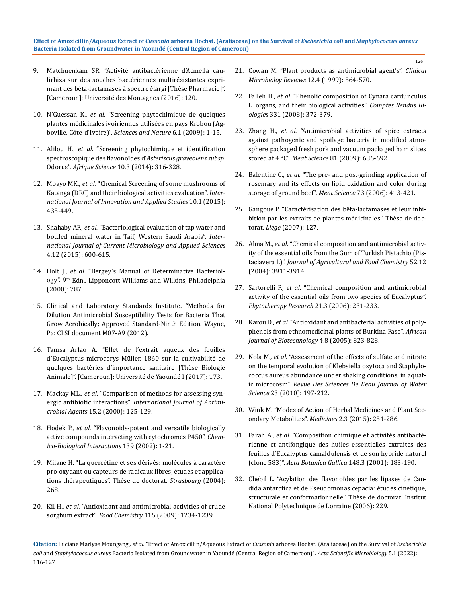- 9. Matchuenkam SR. "Activité antibactérienne d'Acmella caulirhiza sur des souches bactériennes multirésistantes exprimant des béta-lactamases à spectre élargi [Thèse Pharmacie]". [Cameroun]: Université des Montagnes (2016): 120.
- 10. N'Guessan K., *et al.* ["Screening phytochimique de quelques](https://www.ajol.info/index.php/scinat/article/view/48575)  [plantes médicinales ivoiriennes utilisées en pays Krobou \(Ag](https://www.ajol.info/index.php/scinat/article/view/48575)boville, Côte-d'Ivoire)". *[Sciences and Nature](https://www.ajol.info/index.php/scinat/article/view/48575)* 6.1 (2009): 1-15.
- 11. Alilou H., *et al.* ["Screening phytochimique et identification](https://www.ajol.info/index.php/afsci/article/view/109750)  [spectroscopique des flavonoïdes d'](https://www.ajol.info/index.php/afsci/article/view/109750)*Asteriscus graveolens subsp*. Odorus". *Afrique Science* [10.3 \(2014\): 316-328.](https://www.ajol.info/index.php/afsci/article/view/109750)
- 12. Mbayo MK., *et al.* ["Chemical Screening of some mushrooms of](https://www.semanticscholar.org/paper/Chemical-Screening-of-some-mushrooms-of-Katanga-and-Mbayo-Kalonda/88ee65b78902c4387a41993dd09f3c58b594de10)  [Katanga \(DRC\) and their biological activities evaluation".](https://www.semanticscholar.org/paper/Chemical-Screening-of-some-mushrooms-of-Katanga-and-Mbayo-Kalonda/88ee65b78902c4387a41993dd09f3c58b594de10) *Inter[national Journal of Innovation and Applied Studies](https://www.semanticscholar.org/paper/Chemical-Screening-of-some-mushrooms-of-Katanga-and-Mbayo-Kalonda/88ee65b78902c4387a41993dd09f3c58b594de10)* 10.1 (2015): [435-449.](https://www.semanticscholar.org/paper/Chemical-Screening-of-some-mushrooms-of-Katanga-and-Mbayo-Kalonda/88ee65b78902c4387a41993dd09f3c58b594de10)
- 13. Shahaby AF., *et al.* ["Bacteriological evaluation of tap water and](https://www.ijcmas.com/vol-4-12/Ahmad%20F.%20Shahaby,%20et%20al.pdf)  [bottled mineral water in Taif, Western Saudi Arabia".](https://www.ijcmas.com/vol-4-12/Ahmad%20F.%20Shahaby,%20et%20al.pdf) *Inter[national Journal of Current Microbiology and Applied Sciences](https://www.ijcmas.com/vol-4-12/Ahmad%20F.%20Shahaby,%20et%20al.pdf)* [4.12 \(2015\): 600-615.](https://www.ijcmas.com/vol-4-12/Ahmad%20F.%20Shahaby,%20et%20al.pdf)
- 14. Holt J., *et al.* "Bergey's Manual of Determinative Bacteriology". 9<sup>th</sup> Edn., Lipponcott Williams and Wilkins, Philadelphia (2000): 787.
- 15. [Clinical and Laboratory Standards Institute. "Methods for](https://clsi.org/media/1928/m07ed11_sample.pdf)  [Dilution Antimicrobial Susceptibility Tests for Bacteria That](https://clsi.org/media/1928/m07ed11_sample.pdf)  [Grow Aerobically; Approved Standard-Ninth Edition. Wayne,](https://clsi.org/media/1928/m07ed11_sample.pdf)  [Pa: CLSI document M07-A9 \(2012\).](https://clsi.org/media/1928/m07ed11_sample.pdf)
- 16. [Tamsa Arfao A. "Effet de l'extrait aqueux des feuilles](https://hal.archives-ouvertes.fr/tel-02559942/document)  [d'Eucalyptus microcorys Müller, 1860 sur la cultivabilité de](https://hal.archives-ouvertes.fr/tel-02559942/document)  [quelques bactéries d'importance sanitaire \[Thèse Biologie](https://hal.archives-ouvertes.fr/tel-02559942/document)  [Animale\]". \[Cameroun\]: Université de Yaoundé I \(2017\): 173.](https://hal.archives-ouvertes.fr/tel-02559942/document)
- 17. Mackay ML., *et al.* ["Comparison of methods for assessing syn](https://pubmed.ncbi.nlm.nih.gov/10854808/)ergic antibiotic interactions". *[International Journal of Antimi](https://pubmed.ncbi.nlm.nih.gov/10854808/)crobial Agents* [15.2 \(2000\): 125-129.](https://pubmed.ncbi.nlm.nih.gov/10854808/)
- 18. Hodek P., *et al.* ["Flavonoids-potent and versatile biologically](https://pubmed.ncbi.nlm.nih.gov/11803026/)  [active compounds interacting with cytochromes P450".](https://pubmed.ncbi.nlm.nih.gov/11803026/) *Chem[ico-Biological Interactions](https://pubmed.ncbi.nlm.nih.gov/11803026/)* 139 (2002): 1-21.
- 19. [Milane H. "La quercétine et ses dérivés: molécules à caractère](http://www.theses.fr/2004STR13049)  [pro-oxydant ou capteurs de radicaux libres, études et applica](http://www.theses.fr/2004STR13049)[tions thérapeutiques". Thèse de doctorat.](http://www.theses.fr/2004STR13049) *Strasbourg* (2004): [268.](http://www.theses.fr/2004STR13049)
- 20. Kil H., *et al.* ["Antioxidant and antimicrobial activities of crude](https://www.sciencedirect.com/science/article/abs/pii/S0308814609000764)  sorghum extract". *Food Chemistry* [115 \(2009\): 1234-1239.](https://www.sciencedirect.com/science/article/abs/pii/S0308814609000764)

21. [Cowan M. "Plant products as antimicrobial agent's".](https://pubmed.ncbi.nlm.nih.gov/10515903/) *Clinical [Microbioloy Reviews](https://pubmed.ncbi.nlm.nih.gov/10515903/)* 12.4 (1999): 564-570.

- 22. Falleh H., *et al.* ["Phenolic composition of Cynara cardunculus](https://pubmed.ncbi.nlm.nih.gov/18472083/)  [L. organs, and their biological activities".](https://pubmed.ncbi.nlm.nih.gov/18472083/) *Comptes Rendus Biologies* [331 \(2008\): 372-379.](https://pubmed.ncbi.nlm.nih.gov/18472083/)
- 23. Zhang H., *et al.* ["Antimicrobial activities of spice extracts](https://pubmed.ncbi.nlm.nih.gov/20416570/)  [against pathogenic and spoilage bacteria in modified atmo](https://pubmed.ncbi.nlm.nih.gov/20416570/)[sphere packaged fresh pork and vacuum packaged ham slices](https://pubmed.ncbi.nlm.nih.gov/20416570/)  stored at 4 °C". *Meat Science* [81 \(2009\): 686-692.](https://pubmed.ncbi.nlm.nih.gov/20416570/)
- 24. Balentine C., *et al.* ["The pre- and post-grinding application of](https://www.sciencedirect.com/science/article/abs/pii/S0309174005004341)  [rosemary and its effects on lipid oxidation and color during](https://www.sciencedirect.com/science/article/abs/pii/S0309174005004341)  [storage of ground beef".](https://www.sciencedirect.com/science/article/abs/pii/S0309174005004341) *Meat Science* 73 (2006): 413-421.
- 25. [Gangoué P. "Caractérisation des bêta-lactamases et leur inhi](http://bictel.ulg.ac.be/ETD-db/collection/available/ULgetd-10172007-110129/unrestricted/These_Ganpiejo.pdf)[bition par les extraits de plantes médicinales". Thèse de doc](http://bictel.ulg.ac.be/ETD-db/collection/available/ULgetd-10172007-110129/unrestricted/These_Ganpiejo.pdf)torat. *Liège* [\(2007\): 127.](http://bictel.ulg.ac.be/ETD-db/collection/available/ULgetd-10172007-110129/unrestricted/These_Ganpiejo.pdf)
- 26. Alma M., *et al.* ["Chemical composition and antimicrobial activ](https://pubmed.ncbi.nlm.nih.gov/15186116/)[ity of the essential oils from the Gum of Turkish Pistachio \(Pis](https://pubmed.ncbi.nlm.nih.gov/15186116/)taciavera L)". *[Journal of Agricultural and Food Chemistry](https://pubmed.ncbi.nlm.nih.gov/15186116/)* 52.12 [\(2004\): 3911-3914.](https://pubmed.ncbi.nlm.nih.gov/15186116/)
- 27. Sartorelli P., *et al.* ["Chemical composition and antimicrobial](https://pubmed.ncbi.nlm.nih.gov/17154233/)  [activity of the essential oils from two species of Eucalyptus".](https://pubmed.ncbi.nlm.nih.gov/17154233/)  *[Phytotherapy Research](https://pubmed.ncbi.nlm.nih.gov/17154233/)* 21.3 (2006): 231-233.
- 28. Karou D., *et al.* ["Antioxidant and antibacterial activities of poly](https://www.ajol.info/index.php/ajb/article/view/15190)[phenols from ethnomedicinal plants of Burkina Faso".](https://www.ajol.info/index.php/ajb/article/view/15190) *African [Journal of Biotechnology](https://www.ajol.info/index.php/ajb/article/view/15190)* 4.8 (2005): 823-828.
- 29. Nola M., *et al.* ["Assessment of the effects of sulfate and nitrate](https://www.erudit.org/en/journals/rseau/2010-v23-n3-rseau3946/044685ar/)  [on the temporal evolution of Klebsiella oxytoca and Staphylo](https://www.erudit.org/en/journals/rseau/2010-v23-n3-rseau3946/044685ar/)[coccus aureus abundance under shaking conditions, in aquat](https://www.erudit.org/en/journals/rseau/2010-v23-n3-rseau3946/044685ar/)ic microcosm". *[Revue Des Sciences De L'eau Journal of Water](https://www.erudit.org/en/journals/rseau/2010-v23-n3-rseau3946/044685ar/)  Science* [23 \(2010\): 197-212.](https://www.erudit.org/en/journals/rseau/2010-v23-n3-rseau3946/044685ar/)
- 30. [Wink M. "Modes of Action of Herbal Medicines and Plant Sec](https://pubmed.ncbi.nlm.nih.gov/28930211/)ondary Metabolites". *Medicines* [2.3 \(2015\): 251-286.](https://pubmed.ncbi.nlm.nih.gov/28930211/)
- 31. Farah A., *et al.* ["Composition chimique et activités antibacté](https://www.tandfonline.com/doi/pdf/10.1080/12538078.2001.10515886)[rienne et antifongique des huiles essentielles extraites des](https://www.tandfonline.com/doi/pdf/10.1080/12538078.2001.10515886)  [feuilles d'Eucalyptus camaldulensis et de son hybride naturel](https://www.tandfonline.com/doi/pdf/10.1080/12538078.2001.10515886)  (clone 583)". *[Acta Botanica Gallica](https://www.tandfonline.com/doi/pdf/10.1080/12538078.2001.10515886)* 148.3 (2001): 183-190.
- 32. [Chebil L. "Acylation des flavonoïdes par les lipases de Can](https://hal.univ-lorraine.fr/tel-01752787/document)[dida antarctica et de Pseudomonas cepacia: études cinétique,](https://hal.univ-lorraine.fr/tel-01752787/document)  [structurale et conformationnelle". Thèse de doctorat. Institut](https://hal.univ-lorraine.fr/tel-01752787/document)  [National Polytechnique de Lorraine \(2006\): 229.](https://hal.univ-lorraine.fr/tel-01752787/document)

**Citation:** Luciane Marlyse Moungang*., et al.* "Effect of Amoxicillin/Aqueous Extract of *Cussonia* arborea Hochst. (Araliaceae) on the Survival of *Escherichia coli* and *Staphylococcus aureus* Bacteria Isolated from Groundwater in Yaoundé (Central Region of Cameroon)". *Acta Scientific Microbiology* 5.1 (2022): 116-127